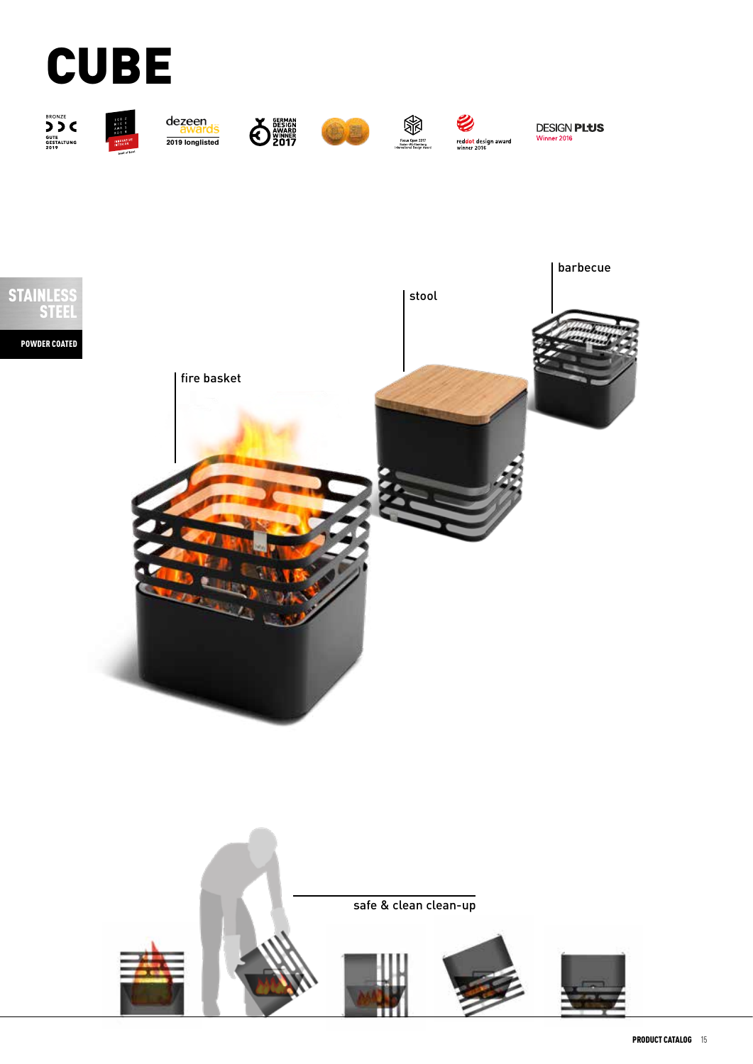